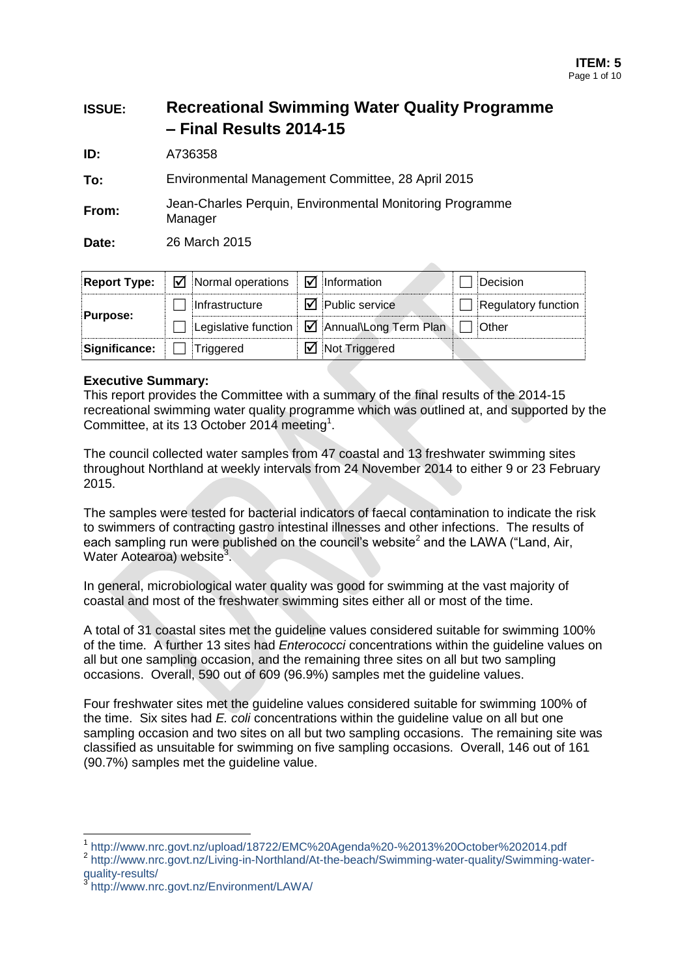# **ISSUE: Recreational Swimming Water Quality Programme – Final Results 2014-15**

**ID:** A736358

**To:** Environmental Management Committee, 28 April 2015

**From:** Jean-Charles Perquin, Environmental Monitoring Programme **Manager** 

**Date:** 26 March 2015

|                                         | <b>Report Type:</b> $\boxed{\triangle}$ Normal operations $\boxed{\triangle}$ Information |                                                            | Decision                   |
|-----------------------------------------|-------------------------------------------------------------------------------------------|------------------------------------------------------------|----------------------------|
|                                         | Infrastructure                                                                            | $\overline{\mathbf{y}}$ Public service                     | <b>Regulatory function</b> |
| <b>Purpose:</b>                         |                                                                                           | Legislative function   1 Annual\Long Term Plan       Other |                            |
| $\mathsf{Significance:} \Box$ Triggered |                                                                                           | $\overline{\mathbf{y}}$ Not Triggered                      |                            |

**Allen** 

### **Executive Summary:**

This report provides the Committee with a summary of the final results of the 2014-15 recreational swimming water quality programme which was outlined at, and supported by the Committee, at its 13 October 2014 meeting<sup>1</sup>.

The council collected water samples from 47 coastal and 13 freshwater swimming sites throughout Northland at weekly intervals from 24 November 2014 to either 9 or 23 February 2015.

The samples were tested for bacterial indicators of faecal contamination to indicate the risk to swimmers of contracting gastro intestinal illnesses and other infections. The results of each sampling run were published on the council's website<sup>2</sup> and the LAWA ("Land, Air, Water Aotearoa) website<sup>3</sup>.

In general, microbiological water quality was good for swimming at the vast majority of coastal and most of the freshwater swimming sites either all or most of the time.

A total of 31 coastal sites met the guideline values considered suitable for swimming 100% of the time. A further 13 sites had *Enterococci* concentrations within the guideline values on all but one sampling occasion, and the remaining three sites on all but two sampling occasions. Overall, 590 out of 609 (96.9%) samples met the guideline values.

Four freshwater sites met the guideline values considered suitable for swimming 100% of the time. Six sites had *E. coli* concentrations within the guideline value on all but one sampling occasion and two sites on all but two sampling occasions. The remaining site was classified as unsuitable for swimming on five sampling occasions. Overall, 146 out of 161 (90.7%) samples met the guideline value.

-

<sup>1</sup> http://www.nrc.govt.nz/upload/18722/EMC%20Agenda%20-%2013%20October%202014.pdf

<sup>&</sup>lt;sup>2</sup> http://www.nrc.govt.nz/Living-in-Northland/At-the-beach/Swimming-water-quality/Swimming-waterquality-results/<br>3 http://www.pr

http://www.nrc.govt.nz/Environment/LAWA/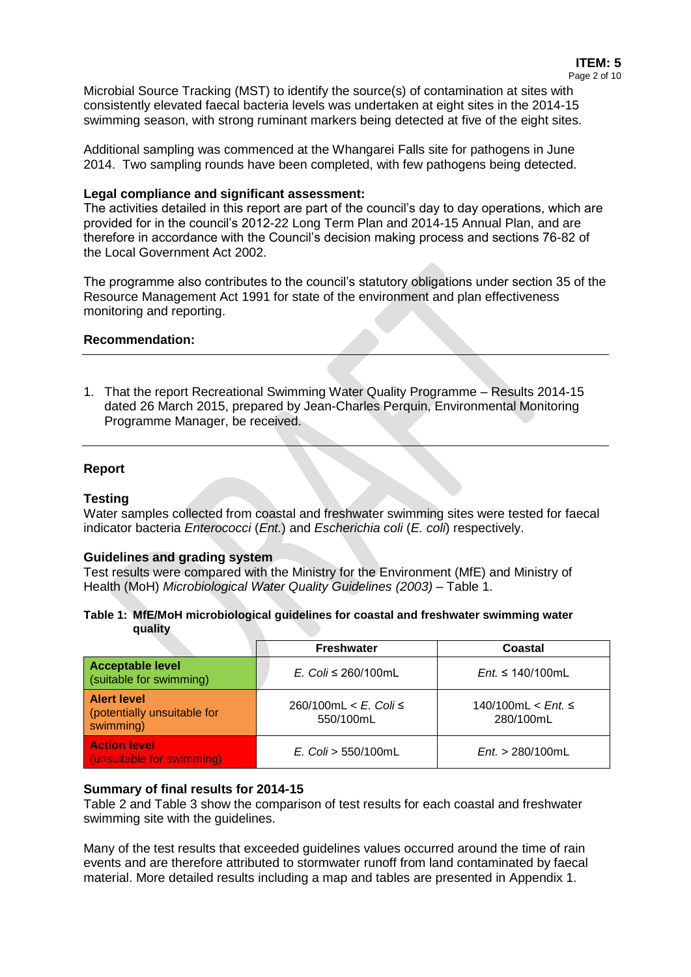Microbial Source Tracking (MST) to identify the source(s) of contamination at sites with consistently elevated faecal bacteria levels was undertaken at eight sites in the 2014-15 swimming season, with strong ruminant markers being detected at five of the eight sites.

Additional sampling was commenced at the Whangarei Falls site for pathogens in June 2014. Two sampling rounds have been completed, with few pathogens being detected.

### **Legal compliance and significant assessment:**

The activities detailed in this report are part of the council's day to day operations, which are provided for in the council's 2012-22 Long Term Plan and 2014-15 Annual Plan, and are therefore in accordance with the Council's decision making process and sections 76-82 of the Local Government Act 2002.

The programme also contributes to the council's statutory obligations under section 35 of the Resource Management Act 1991 for state of the environment and plan effectiveness monitoring and reporting.

### **Recommendation:**

1. That the report Recreational Swimming Water Quality Programme – Results 2014-15 dated 26 March 2015, prepared by Jean-Charles Perquin, Environmental Monitoring Programme Manager, be received.

### **Report**

### **Testing**

Water samples collected from coastal and freshwater swimming sites were tested for faecal indicator bacteria *Enterococci* (*Ent.*) and *Escherichia coli* (*E. coli*) respectively.

### **Guidelines and grading system**

Test results were compared with the Ministry for the Environment (MfE) and Ministry of Health (MoH) *Microbiological Water Quality Guidelines (2003)* – [Table 1.](#page-1-0)

<span id="page-1-0"></span>

| Table 1: MfE/MoH microbiological guidelines for coastal and freshwater swimming water |  |  |
|---------------------------------------------------------------------------------------|--|--|
| quality                                                                               |  |  |

|                                                                | <b>Freshwater</b>                     | Coastal                                |
|----------------------------------------------------------------|---------------------------------------|----------------------------------------|
| <b>Acceptable level</b><br>(suitable for swimming)             | E. Coli $\leq$ 260/100mL              | $Ent \leq 140/100$ mL                  |
| <b>Alert level</b><br>(potentially unsuitable for<br>swimming) | 260/100mL < $E$ . Coli ≤<br>550/100mL | 140/100mL < <i>Ent.</i> ≤<br>280/100mL |
| <b>Action level</b><br>(unsuitable for swimming)               | $E.$ Coli > 550/100mL                 | Ent. > 280/100mL                       |

### **Summary of final results for 2014-15**

[Table 2](#page-2-0) and [Table 3](#page-4-0) show the comparison of test results for each coastal and freshwater swimming site with the guidelines.

Many of the test results that exceeded guidelines values occurred around the time of rain events and are therefore attributed to stormwater runoff from land contaminated by faecal material. More detailed results including a map and tables are presented in Appendix 1.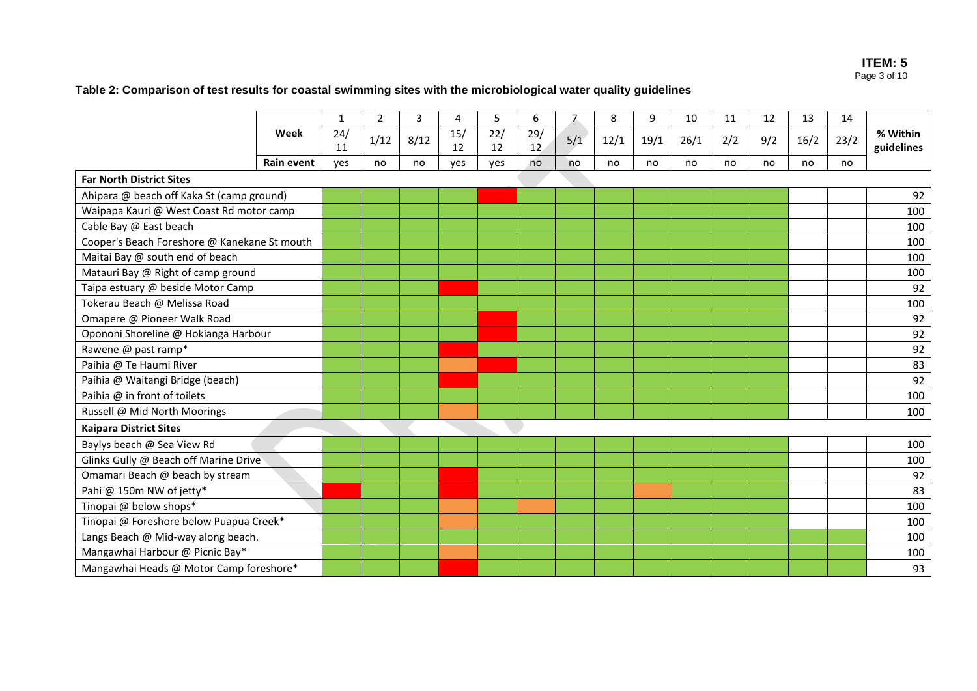### **ITEM: 5** Page 3 of 10

# **Table 2: Comparison of test results for coastal swimming sites with the microbiological water quality guidelines**

<span id="page-2-0"></span>

|                                              |            | 1         | 2    | 3    | 4         | 5         | 6         | 7   | 8    | 9    | 10   | 11  | 12  | 13   | 14   |                        |
|----------------------------------------------|------------|-----------|------|------|-----------|-----------|-----------|-----|------|------|------|-----|-----|------|------|------------------------|
|                                              | Week       | 24/<br>11 | 1/12 | 8/12 | 15/<br>12 | 22/<br>12 | 29/<br>12 | 5/1 | 12/1 | 19/1 | 26/1 | 2/2 | 9/2 | 16/2 | 23/2 | % Within<br>guidelines |
|                                              | Rain event | ves       | no   | no   | yes       | yes       | no        | no  | no   | no   | no   | no  | no  | no   | no   |                        |
| <b>Far North District Sites</b>              |            |           |      |      |           |           |           |     |      |      |      |     |     |      |      |                        |
| Ahipara @ beach off Kaka St (camp ground)    |            |           |      |      |           |           |           |     |      |      |      |     |     |      |      | 92                     |
| Waipapa Kauri @ West Coast Rd motor camp     |            |           |      |      |           |           |           |     |      |      |      |     |     |      |      | 100                    |
| Cable Bay @ East beach                       |            |           |      |      |           |           |           |     |      |      |      |     |     |      |      | 100                    |
| Cooper's Beach Foreshore @ Kanekane St mouth |            |           |      |      |           |           |           |     |      |      |      |     |     |      |      | 100                    |
| Maitai Bay @ south end of beach              |            |           |      |      |           |           |           |     |      |      |      |     |     |      |      | 100                    |
| Matauri Bay @ Right of camp ground           |            |           |      |      |           |           |           |     |      |      |      |     |     |      |      | 100                    |
| Taipa estuary @ beside Motor Camp            |            |           |      |      |           |           |           |     |      |      |      |     |     |      |      | 92                     |
| Tokerau Beach @ Melissa Road                 |            |           |      |      |           |           |           |     |      |      |      |     |     |      |      | 100                    |
| Omapere @ Pioneer Walk Road                  |            |           |      |      |           |           |           |     |      |      |      |     |     |      |      | 92                     |
| Opononi Shoreline @ Hokianga Harbour         |            |           |      |      |           |           |           |     |      |      |      |     |     |      |      | 92                     |
| Rawene @ past ramp*                          |            |           |      |      |           |           |           |     |      |      |      |     |     |      |      | 92                     |
| Paihia @ Te Haumi River                      |            |           |      |      |           |           |           |     |      |      |      |     |     |      |      | 83                     |
| Paihia @ Waitangi Bridge (beach)             |            |           |      |      |           |           |           |     |      |      |      |     |     |      |      | 92                     |
| Paihia @ in front of toilets                 |            |           |      |      |           |           |           |     |      |      |      |     |     |      |      | 100                    |
| Russell @ Mid North Moorings                 |            |           |      |      |           |           |           |     |      |      |      |     |     |      |      | 100                    |
| <b>Kaipara District Sites</b>                |            |           |      |      |           |           |           |     |      |      |      |     |     |      |      |                        |
| Baylys beach @ Sea View Rd                   |            |           |      |      |           |           |           |     |      |      |      |     |     |      |      | 100                    |
| Glinks Gully @ Beach off Marine Drive        |            |           |      |      |           |           |           |     |      |      |      |     |     |      |      | 100                    |
| Omamari Beach @ beach by stream              |            |           |      |      |           |           |           |     |      |      |      |     |     |      |      | 92                     |
| Pahi @ 150m NW of jetty*                     |            |           |      |      |           |           |           |     |      |      |      |     |     |      |      | 83                     |
| Tinopai @ below shops*                       |            |           |      |      |           |           |           |     |      |      |      |     |     |      |      | 100                    |
| Tinopai @ Foreshore below Puapua Creek*      |            |           |      |      |           |           |           |     |      |      |      |     |     |      |      | 100                    |
| Langs Beach @ Mid-way along beach.           |            |           |      |      |           |           |           |     |      |      |      |     |     |      |      | 100                    |
| Mangawhai Harbour @ Picnic Bay*              |            |           |      |      |           |           |           |     |      |      |      |     |     |      |      | 100                    |
| Mangawhai Heads @ Motor Camp foreshore*      |            |           |      |      |           |           |           |     |      |      |      |     |     |      |      | 93                     |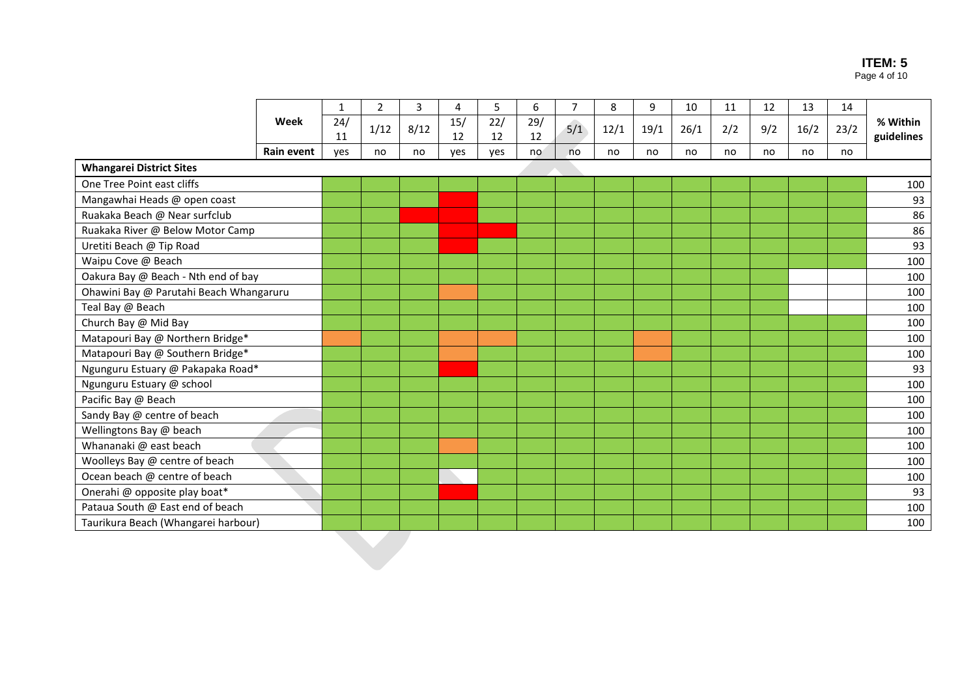#### **ITEM: 5** Page 4 of 10

|                                         |            | 1         | $\overline{2}$ | 3    | 4         | 5         | 6         | $\overline{7}$ | 8    | 9    | 10   | 11  | 12  | 13   | 14   |                        |
|-----------------------------------------|------------|-----------|----------------|------|-----------|-----------|-----------|----------------|------|------|------|-----|-----|------|------|------------------------|
|                                         | Week       | 24/<br>11 | 1/12           | 8/12 | 15/<br>12 | 22/<br>12 | 29/<br>12 | 5/1            | 12/1 | 19/1 | 26/1 | 2/2 | 9/2 | 16/2 | 23/2 | % Within<br>guidelines |
|                                         | Rain event | yes       | no             | no   | yes       | yes       | no        | no             | no   | no   | no   | no  | no  | no   | no   |                        |
| <b>Whangarei District Sites</b>         |            |           |                |      |           |           |           |                |      |      |      |     |     |      |      |                        |
| One Tree Point east cliffs              |            |           |                |      |           |           |           |                |      |      |      |     |     |      |      | 100                    |
| Mangawhai Heads @ open coast            |            |           |                |      |           |           |           |                |      |      |      |     |     |      |      | 93                     |
| Ruakaka Beach @ Near surfclub           |            |           |                |      |           |           |           |                |      |      |      |     |     |      |      | 86                     |
| Ruakaka River @ Below Motor Camp        |            |           |                |      |           |           |           |                |      |      |      |     |     |      |      | 86                     |
| Uretiti Beach @ Tip Road                |            |           |                |      |           |           |           |                |      |      |      |     |     |      |      | 93                     |
| Waipu Cove @ Beach                      |            |           |                |      |           |           |           |                |      |      |      |     |     |      |      | 100                    |
| Oakura Bay @ Beach - Nth end of bay     |            |           |                |      |           |           |           |                |      |      |      |     |     |      |      | 100                    |
| Ohawini Bay @ Parutahi Beach Whangaruru |            |           |                |      |           |           |           |                |      |      |      |     |     |      |      | 100                    |
| Teal Bay @ Beach                        |            |           |                |      |           |           |           |                |      |      |      |     |     |      |      | 100                    |
| Church Bay @ Mid Bay                    |            |           |                |      |           |           |           |                |      |      |      |     |     |      |      | 100                    |
| Matapouri Bay @ Northern Bridge*        |            |           |                |      |           |           |           |                |      |      |      |     |     |      |      | 100                    |
| Matapouri Bay @ Southern Bridge*        |            |           |                |      |           |           |           |                |      |      |      |     |     |      |      | 100                    |
| Ngunguru Estuary @ Pakapaka Road*       |            |           |                |      |           |           |           |                |      |      |      |     |     |      |      | 93                     |
| Ngunguru Estuary @ school               |            |           |                |      |           |           |           |                |      |      |      |     |     |      |      | 100                    |
| Pacific Bay @ Beach                     |            |           |                |      |           |           |           |                |      |      |      |     |     |      |      | 100                    |
| Sandy Bay @ centre of beach             |            |           |                |      |           |           |           |                |      |      |      |     |     |      |      | 100                    |
| Wellingtons Bay @ beach                 |            |           |                |      |           |           |           |                |      |      |      |     |     |      |      | 100                    |
| Whananaki @ east beach                  |            |           |                |      |           |           |           |                |      |      |      |     |     |      |      | 100                    |
| Woolleys Bay @ centre of beach          |            |           |                |      |           |           |           |                |      |      |      |     |     |      |      | 100                    |
| Ocean beach @ centre of beach           |            |           |                |      |           |           |           |                |      |      |      |     |     |      |      | 100                    |
| Onerahi @ opposite play boat*           |            |           |                |      |           |           |           |                |      |      |      |     |     |      |      | 93                     |
| Pataua South @ East end of beach        |            |           |                |      |           |           |           |                |      |      |      |     |     |      |      | 100                    |
| Taurikura Beach (Whangarei harbour)     |            |           |                |      |           |           |           |                |      |      |      |     |     |      |      | 100                    |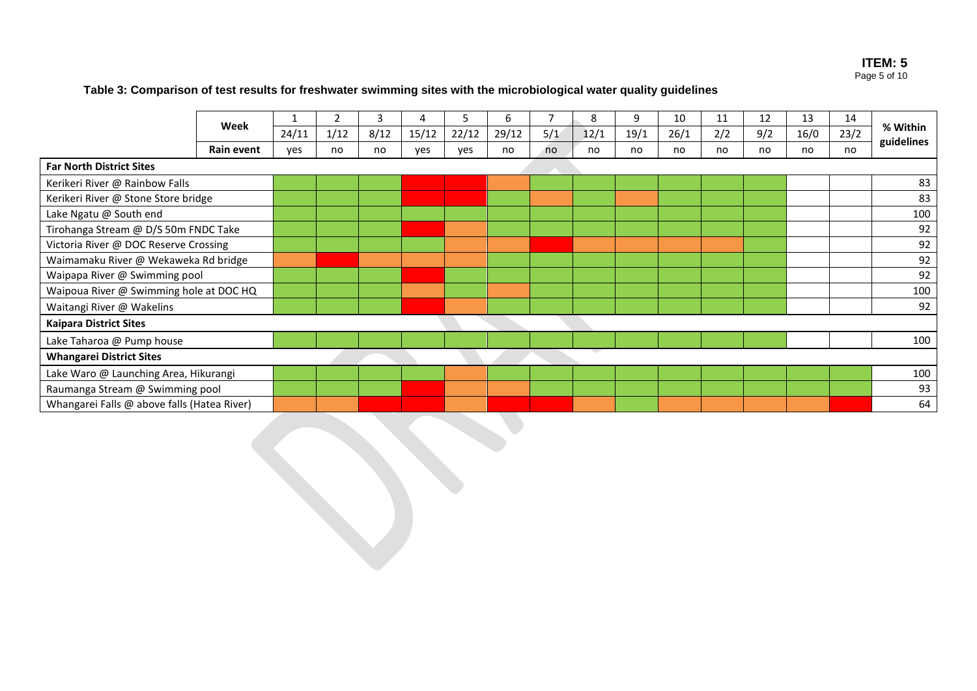#### **ITEM: 5** Page 5 of 10

# **Table 3: Comparison of test results for freshwater swimming sites with the microbiological water quality guidelines**

<span id="page-4-0"></span>

|                                             |            |       |      | 3    |       | ר     | 6     |     | 8    | 9    | 10   | 11  | 12  | 13   | 14   |                        |
|---------------------------------------------|------------|-------|------|------|-------|-------|-------|-----|------|------|------|-----|-----|------|------|------------------------|
|                                             | Week       | 24/11 | 1/12 | 8/12 | 15/12 | 22/12 | 29/12 | 5/1 | 12/1 | 19/1 | 26/1 | 2/2 | 9/2 | 16/0 | 23/2 | % Within<br>guidelines |
|                                             | Rain event | ves   | no   | no   | yes   | ves   | no    | no  | no   | no   | no   | no  | no  | no   | no   |                        |
| <b>Far North District Sites</b>             |            |       |      |      |       |       |       |     |      |      |      |     |     |      |      |                        |
| Kerikeri River @ Rainbow Falls              |            |       |      |      |       |       |       |     |      |      |      |     |     |      |      | 83                     |
| Kerikeri River @ Stone Store bridge         |            |       |      |      |       |       |       |     |      |      |      |     |     |      |      | 83                     |
| Lake Ngatu @ South end                      |            |       |      |      |       |       |       |     |      |      |      |     |     |      |      | 100                    |
| Tirohanga Stream @ D/S 50m FNDC Take        |            |       |      |      |       |       |       |     |      |      |      |     |     |      |      | 92                     |
| Victoria River @ DOC Reserve Crossing       |            |       |      |      |       |       |       |     |      |      |      |     |     |      |      | 92                     |
| Waimamaku River @ Wekaweka Rd bridge        |            |       |      |      |       |       |       |     |      |      |      |     |     |      |      | 92                     |
| Waipapa River @ Swimming pool               |            |       |      |      |       |       |       |     |      |      |      |     |     |      |      | 92                     |
| Waipoua River @ Swimming hole at DOC HQ     |            |       |      |      |       |       |       |     |      |      |      |     |     |      |      | 100                    |
| Waitangi River @ Wakelins                   |            |       |      |      |       |       |       |     |      |      |      |     |     |      |      | 92                     |
| <b>Kaipara District Sites</b>               |            |       |      |      |       |       |       |     |      |      |      |     |     |      |      |                        |
| Lake Taharoa @ Pump house                   |            |       |      |      |       |       |       |     |      |      |      |     |     |      |      | 100                    |
| <b>Whangarei District Sites</b>             |            |       |      |      |       |       |       |     |      |      |      |     |     |      |      |                        |
| Lake Waro @ Launching Area, Hikurangi       |            |       |      |      |       |       |       |     |      |      |      |     |     |      |      | 100                    |
| Raumanga Stream @ Swimming pool             |            |       |      |      |       |       |       |     |      |      |      |     |     |      |      | 93                     |
| Whangarei Falls @ above falls (Hatea River) |            |       |      |      |       |       |       |     |      |      |      |     |     |      |      | 64                     |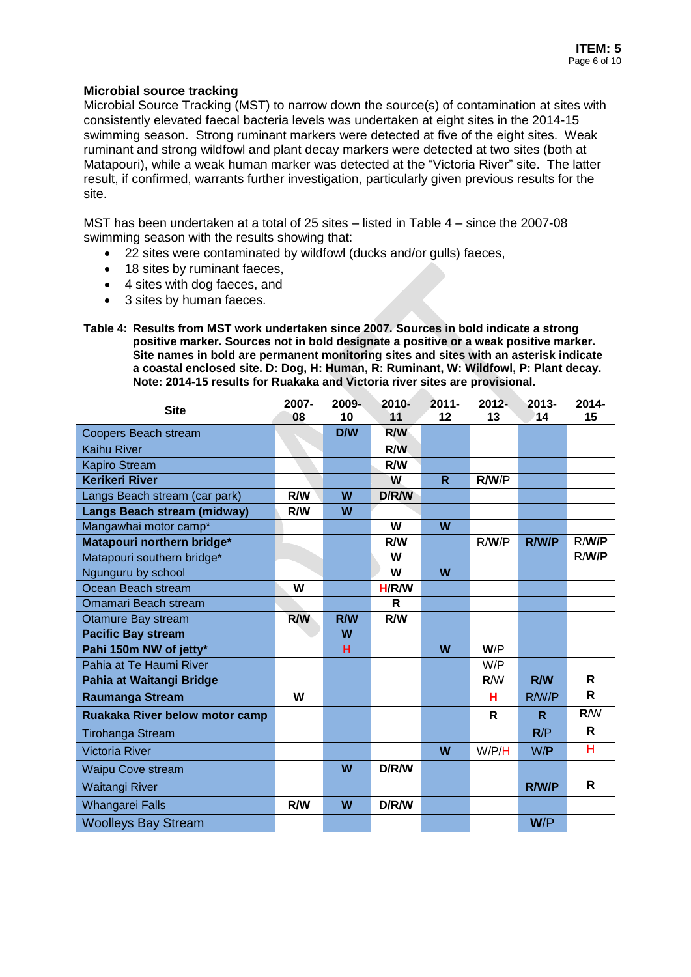### **Microbial source tracking**

Microbial Source Tracking (MST) to narrow down the source(s) of contamination at sites with consistently elevated faecal bacteria levels was undertaken at eight sites in the 2014-15 swimming season. Strong ruminant markers were detected at five of the eight sites. Weak ruminant and strong wildfowl and plant decay markers were detected at two sites (both at Matapouri), while a weak human marker was detected at the "Victoria River" site. The latter result, if confirmed, warrants further investigation, particularly given previous results for the site.

MST has been undertaken at a total of 25 sites – listed in Table 4 – since the 2007-08 swimming season with the results showing that:

- 22 sites were contaminated by wildfowl (ducks and/or gulls) faeces,
- 18 sites by ruminant faeces,
- 4 sites with dog faeces, and
- 3 sites by human faeces.

**Table 4: Results from MST work undertaken since 2007. Sources in bold indicate a strong positive marker. Sources not in bold designate a positive or a weak positive marker. Site names in bold are permanent monitoring sites and sites with an asterisk indicate a coastal enclosed site. D: Dog, H: Human, R: Ruminant, W: Wildfowl, P: Plant decay. Note: 2014-15 results for Ruakaka and Victoria river sites are provisional.**

| <b>Site</b>                        | 2007- | 2009- | 2010-      | $2011 -$ | $2012 -$ | 2013-        | 2014-        |
|------------------------------------|-------|-------|------------|----------|----------|--------------|--------------|
|                                    | 08    | 10    | 11         | $12 \,$  | 13       | 14           | 15           |
| Coopers Beach stream               |       | D/W   | <b>R/W</b> |          |          |              |              |
| <b>Kaihu River</b>                 |       |       | R/W        |          |          |              |              |
| <b>Kapiro Stream</b>               |       |       | R/W        |          |          |              |              |
| <b>Kerikeri River</b>              |       |       | W          | R        | R/W/P    |              |              |
| Langs Beach stream (car park)      | R/W   | W     | D/R/W      |          |          |              |              |
| <b>Langs Beach stream (midway)</b> | R/W   | W     |            |          |          |              |              |
| Mangawhai motor camp*              |       |       | W          | W        |          |              |              |
| Matapouri northern bridge*         |       |       | R/W        |          | R/W/P    | <b>R/W/P</b> | R/W/P        |
| Matapouri southern bridge*         |       |       | W          |          |          |              | R/W/P        |
| Ngunguru by school                 |       |       | W          | W        |          |              |              |
| Ocean Beach stream                 | W     |       | H/R/W      |          |          |              |              |
| Omamari Beach stream               |       |       | R          |          |          |              |              |
| Otamure Bay stream                 | R/W   | R/W   | R/W        |          |          |              |              |
| <b>Pacific Bay stream</b>          |       | W     |            |          |          |              |              |
| Pahi 150m NW of jetty*             |       | н     |            | W        | W/P      |              |              |
| Pahia at Te Haumi River            |       |       |            |          | W/P      |              |              |
| Pahia at Waitangi Bridge           |       |       |            |          | R/W      | R/W          | R            |
| <b>Raumanga Stream</b>             | W     |       |            |          | н        | R/W/P        | R            |
| Ruakaka River below motor camp     |       |       |            |          | R        | R            | R/W          |
| <b>Tirohanga Stream</b>            |       |       |            |          |          | R/P          | $\mathsf{R}$ |
| <b>Victoria River</b>              |       |       |            | W        | W/P/H    | W/P          | H            |
| <b>Waipu Cove stream</b>           |       | W     | D/R/W      |          |          |              |              |
| <b>Waitangi River</b>              |       |       |            |          |          | R/W/P        | $\mathsf{R}$ |
| <b>Whangarei Falls</b>             | R/W   | W     | D/R/W      |          |          |              |              |
| <b>Woolleys Bay Stream</b>         |       |       |            |          |          | W/P          |              |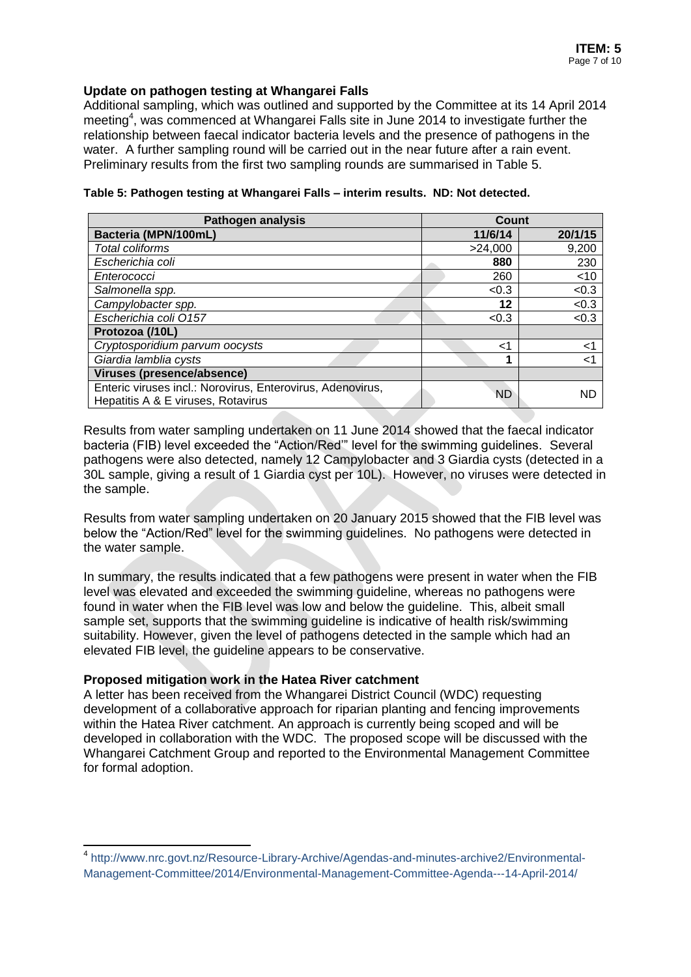### **Update on pathogen testing at Whangarei Falls**

Additional sampling, which was outlined and supported by the Committee at its 14 April 2014 meeting<sup>4</sup>, was commenced at Whangarei Falls site in June 2014 to investigate further the relationship between faecal indicator bacteria levels and the presence of pathogens in the water. A further sampling round will be carried out in the near future after a rain event. Preliminary results from the first two sampling rounds are summarised in [Table 5.](#page-6-0)

| <b>Pathogen analysis</b>                                                                         | <b>Count</b> |         |
|--------------------------------------------------------------------------------------------------|--------------|---------|
| Bacteria (MPN/100mL)                                                                             | 11/6/14      | 20/1/15 |
| Total coliforms                                                                                  | >24,000      | 9,200   |
| Escherichia coli                                                                                 | 880          | 230     |
| Enterococci                                                                                      | 260          | $<$ 10  |
| Salmonella spp.                                                                                  | < 0.3        | < 0.3   |
| Campylobacter spp.                                                                               | 12           | < 0.3   |
| Escherichia coli 0157                                                                            | < 0.3        | < 0.3   |
| Protozoa (/10L)                                                                                  |              |         |
| Cryptosporidium parvum oocysts                                                                   | ا>           | ا>      |
| Giardia lamblia cysts                                                                            |              | ہ ۔     |
| Viruses (presence/absence)                                                                       |              |         |
| Enteric viruses incl.: Norovirus, Enterovirus, Adenovirus,<br>Hepatitis A & E viruses, Rotavirus | <b>ND</b>    | ND      |

<span id="page-6-0"></span>**Table 5: Pathogen testing at Whangarei Falls – interim results. ND: Not detected.**

Results from water sampling undertaken on 11 June 2014 showed that the faecal indicator bacteria (FIB) level exceeded the "Action/Red'" level for the swimming guidelines. Several pathogens were also detected, namely 12 Campylobacter and 3 Giardia cysts (detected in a 30L sample, giving a result of 1 Giardia cyst per 10L). However, no viruses were detected in the sample.

Results from water sampling undertaken on 20 January 2015 showed that the FIB level was below the "Action/Red" level for the swimming guidelines. No pathogens were detected in the water sample.

In summary, the results indicated that a few pathogens were present in water when the FIB level was elevated and exceeded the swimming guideline, whereas no pathogens were found in water when the FIB level was low and below the guideline. This, albeit small sample set, supports that the swimming guideline is indicative of health risk/swimming suitability. However, given the level of pathogens detected in the sample which had an elevated FIB level, the guideline appears to be conservative.

### **Proposed mitigation work in the Hatea River catchment**

 $\overline{a}$ 

A letter has been received from the Whangarei District Council (WDC) requesting development of a collaborative approach for riparian planting and fencing improvements within the Hatea River catchment. An approach is currently being scoped and will be developed in collaboration with the WDC. The proposed scope will be discussed with the Whangarei Catchment Group and reported to the Environmental Management Committee for formal adoption.

<sup>4</sup> [http://www.nrc.govt.nz/Resource-Library-Archive/Agendas-and-minutes-archive2/Environmental-](http://www.nrc.govt.nz/Resource-Library-Archive/Agendas-and-minutes-archive2/Environmental-Management-Committee/2014/Environmental-Management-Committee-Agenda---14-April-2014/)[Management-Committee/2014/Environmental-Management-Committee-Agenda---14-April-2014/](http://www.nrc.govt.nz/Resource-Library-Archive/Agendas-and-minutes-archive2/Environmental-Management-Committee/2014/Environmental-Management-Committee-Agenda---14-April-2014/)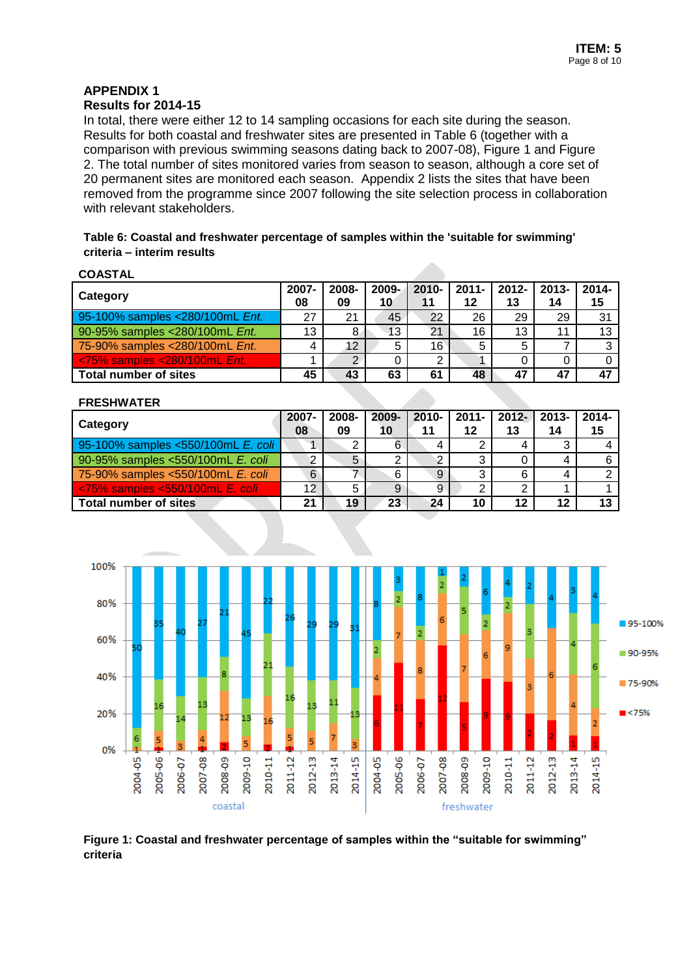## **APPENDIX 1 Results for 2014-15**

In total, there were either 12 to 14 sampling occasions for each site during the season. Results for both coastal and freshwater sites are presented in [Table 6](#page-7-0) (together with a comparison with previous swimming seasons dating back to 2007-08), [Figure 1](#page-7-1) and [Figure](#page-8-0)  [2.](#page-8-0) The total number of sites monitored varies from season to season, although a core set of 20 permanent sites are monitored each season. Appendix 2 lists the sites that have been removed from the programme since 2007 following the site selection process in collaboration with relevant stakeholders.

<span id="page-7-0"></span>**Table 6: Coastal and freshwater percentage of samples within the 'suitable for swimming' criteria – interim results**

| ۱Δ۰<br>SТ |  |
|-----------|--|
|           |  |

| Category                        | 2007-<br>08 | 2008-<br>09 | $2009 -$<br>10 | $2010 -$<br>11 | 2011-<br>12 | 2012-<br>13 | $2013 -$<br>14 | $2014 -$<br>15 |
|---------------------------------|-------------|-------------|----------------|----------------|-------------|-------------|----------------|----------------|
| 95-100% samples <280/100mL Ent. | 27          | 21          | 45             | 22             | 26          | 29          | 29             | 31             |
| 90-95% samples <280/100mL Ent.  | 13          | 8           | 13             | 21             | 16          | 13          | 11             | 13             |
| 75-90% samples <280/100mL Ent.  |             | 12          | 5              | 16             | 5           |             |                |                |
| <75% samples <280/100mL Ent.    |             | ⌒           |                | າ              |             |             |                |                |
| Total number of sites           | 45          | 43          | 63             | 61             | 48          | 47          | 47             | 47             |

#### **FRESHWATER**

| Category                                  | 2007-<br>08 | 2008-<br>09 | 2009-<br>10 | 11 | 2010-   2011-  <br>12 | $2012 -$<br>13 | 2013-<br>14 | $2014 -$<br>15 |
|-------------------------------------------|-------------|-------------|-------------|----|-----------------------|----------------|-------------|----------------|
| 95-100% samples <550/100mL E. coli        |             | c           | 6           |    |                       |                |             |                |
| 90-95% samples <550/100mL E. coli         |             | 5           |             | ာ  |                       |                |             |                |
| 75-90% samples <550/100mL E. coli         | 6           |             | 6           | 9  | 3                     |                |             |                |
| $\le$ 75% samples $\le$ 550/100mL E, coli | 12          |             | 9           | 9  |                       |                |             |                |
| <b>Total number of sites</b>              | 21          | 19          | 23          | 24 | 10                    | 12             | 12          |                |



<span id="page-7-1"></span>**Figure 1: Coastal and freshwater percentage of samples within the "suitable for swimming" criteria**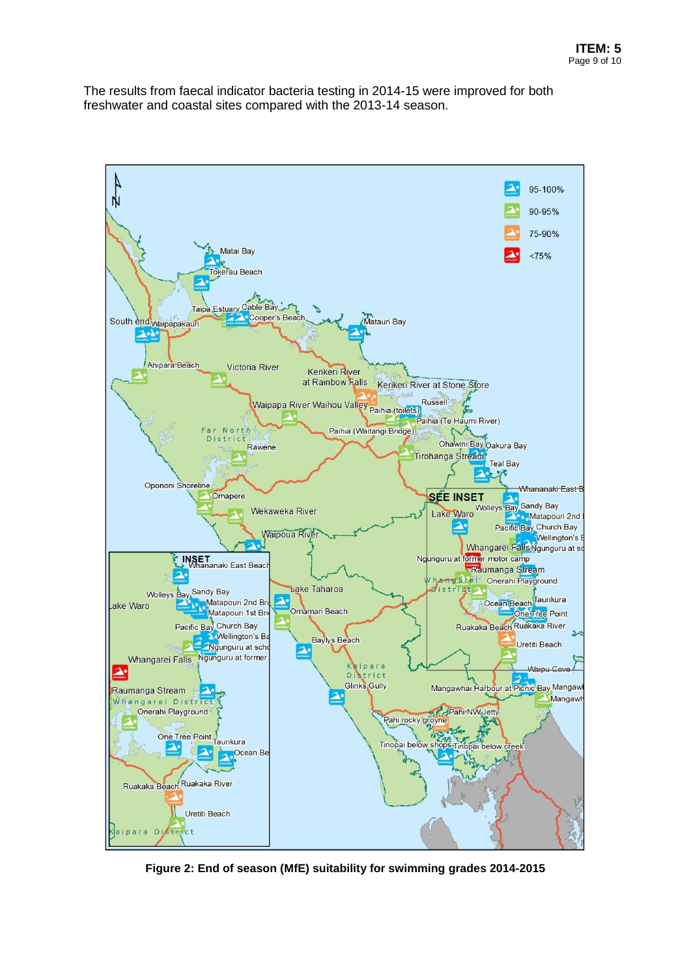The results from faecal indicator bacteria testing in 2014-15 were improved for both freshwater and coastal sites compared with the 2013-14 season.



<span id="page-8-0"></span>**Figure 2: End of season (MfE) suitability for swimming grades 2014-2015**